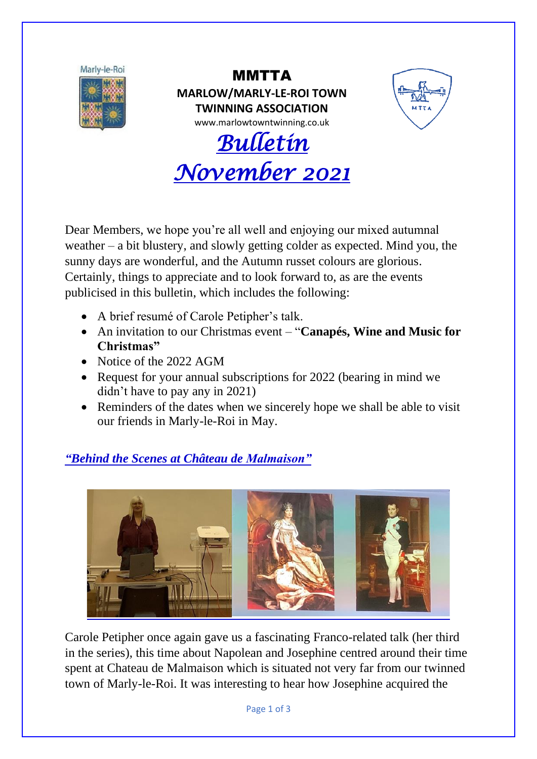

MMTTA **MARLOW/MARLY-LE-ROI TOWN TWINNING ASSOCIATION** www.marlowtowntwinning.co.uk





Dear Members, we hope you're all well and enjoying our mixed autumnal weather – a bit blustery, and slowly getting colder as expected. Mind you, the sunny days are wonderful, and the Autumn russet colours are glorious. Certainly, things to appreciate and to look forward to, as are the events publicised in this bulletin, which includes the following:

- A brief resumé of Carole Petipher's talk.
- An invitation to our Christmas event "**Canapés, Wine and Music for Christmas"**
- Notice of the 2022 AGM
- Request for your annual subscriptions for 2022 (bearing in mind we didn't have to pay any in 2021)
- Reminders of the dates when we sincerely hope we shall be able to visit our friends in Marly-le-Roi in May.

## *"Behind the Scenes at Château de Malmaison"*



Carole Petipher once again gave us a fascinating Franco-related talk (her third in the series), this time about Napolean and Josephine centred around their time spent at Chateau de Malmaison which is situated not very far from our twinned town of Marly-le-Roi. It was interesting to hear how Josephine acquired the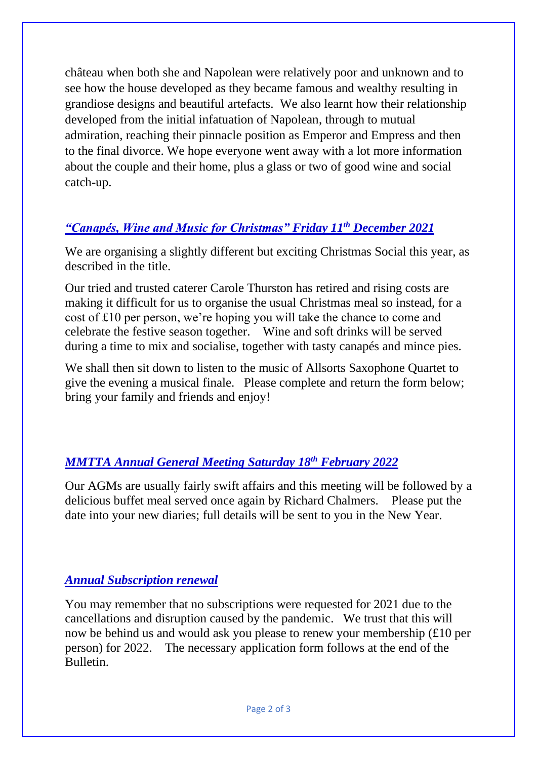château when both she and Napolean were relatively poor and unknown and to see how the house developed as they became famous and wealthy resulting in grandiose designs and beautiful artefacts. We also learnt how their relationship developed from the initial infatuation of Napolean, through to mutual admiration, reaching their pinnacle position as Emperor and Empress and then to the final divorce. We hope everyone went away with a lot more information about the couple and their home, plus a glass or two of good wine and social catch-up.

### *"Canapés, Wine and Music for Christmas" Friday 11th December 2021*

We are organising a slightly different but exciting Christmas Social this year, as described in the title.

Our tried and trusted caterer Carole Thurston has retired and rising costs are making it difficult for us to organise the usual Christmas meal so instead, for a cost of £10 per person, we're hoping you will take the chance to come and celebrate the festive season together. Wine and soft drinks will be served during a time to mix and socialise, together with tasty canapés and mince pies.

We shall then sit down to listen to the music of Allsorts Saxophone Quartet to give the evening a musical finale. Please complete and return the form below; bring your family and friends and enjoy!

## *MMTTA Annual General Meeting Saturday 18th February 2022*

Our AGMs are usually fairly swift affairs and this meeting will be followed by a delicious buffet meal served once again by Richard Chalmers. Please put the date into your new diaries; full details will be sent to you in the New Year.

#### *Annual Subscription renewal*

You may remember that no subscriptions were requested for 2021 due to the cancellations and disruption caused by the pandemic. We trust that this will now be behind us and would ask you please to renew your membership (£10 per person) for 2022. The necessary application form follows at the end of the Bulletin.